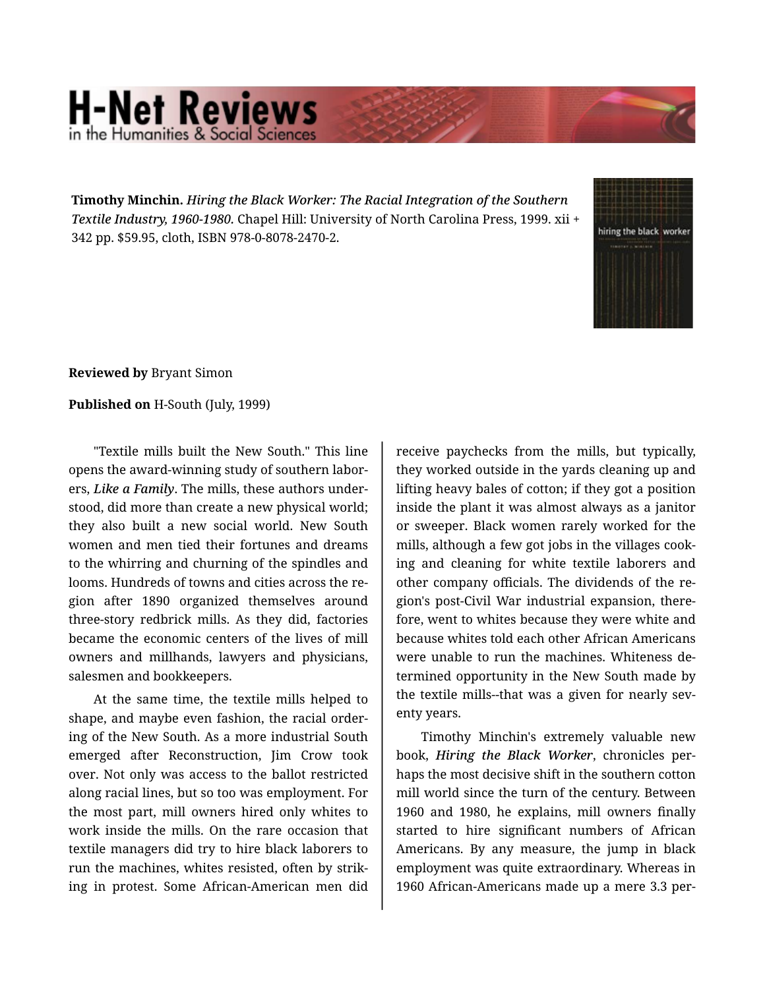## **H-Net Reviews** in the Humanities & Social S

**Timothy Minchin.** *Hiring the Black Worker: The Racial Integration of the Southern Textile Industry, 1960-1980.* Chapel Hill: University of North Carolina Press, 1999. xii + 342 pp. \$59.95, cloth, ISBN 978-0-8078-2470-2.



**Reviewed by** Bryant Simon

## **Published on** H-South (July, 1999)

"Textile mills built the New South." This line opens the award-winning study of southern labor‐ ers, *Like a Family*. The mills, these authors under‐ stood, did more than create a new physical world; they also built a new social world. New South women and men tied their fortunes and dreams to the whirring and churning of the spindles and looms. Hundreds of towns and cities across the re‐ gion after 1890 organized themselves around three-story redbrick mills. As they did, factories became the economic centers of the lives of mill owners and millhands, lawyers and physicians, salesmen and bookkeepers.

At the same time, the textile mills helped to shape, and maybe even fashion, the racial order‐ ing of the New South. As a more industrial South emerged after Reconstruction, Jim Crow took over. Not only was access to the ballot restricted along racial lines, but so too was employment. For the most part, mill owners hired only whites to work inside the mills. On the rare occasion that textile managers did try to hire black laborers to run the machines, whites resisted, often by strik‐ ing in protest. Some African-American men did

receive paychecks from the mills, but typically, they worked outside in the yards cleaning up and lifting heavy bales of cotton; if they got a position inside the plant it was almost always as a janitor or sweeper. Black women rarely worked for the mills, although a few got jobs in the villages cook‐ ing and cleaning for white textile laborers and other company officials. The dividends of the re‐ gion's post-Civil War industrial expansion, there‐ fore, went to whites because they were white and because whites told each other African Americans were unable to run the machines. Whiteness de‐ termined opportunity in the New South made by the textile mills--that was a given for nearly sev‐ enty years.

Timothy Minchin's extremely valuable new book, *Hiring the Black Worker*, chronicles per‐ haps the most decisive shift in the southern cotton mill world since the turn of the century. Between 1960 and 1980, he explains, mill owners finally started to hire significant numbers of African Americans. By any measure, the jump in black employment was quite extraordinary. Whereas in 1960 African-Americans made up a mere 3.3 per‐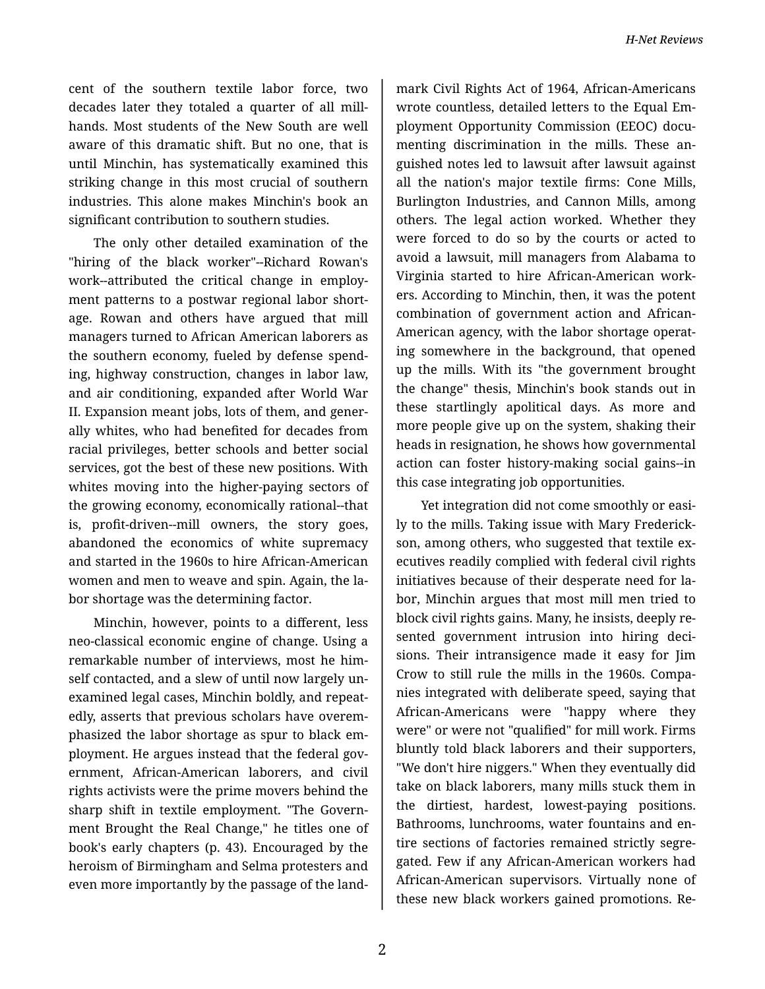cent of the southern textile labor force, two decades later they totaled a quarter of all mill‐ hands. Most students of the New South are well aware of this dramatic shift. But no one, that is until Minchin, has systematically examined this striking change in this most crucial of southern industries. This alone makes Minchin's book an significant contribution to southern studies.

The only other detailed examination of the "hiring of the black worker"--Richard Rowan's work--attributed the critical change in employ‐ ment patterns to a postwar regional labor short‐ age. Rowan and others have argued that mill managers turned to African American laborers as the southern economy, fueled by defense spend‐ ing, highway construction, changes in labor law, and air conditioning, expanded after World War II. Expansion meant jobs, lots of them, and gener‐ ally whites, who had benefited for decades from racial privileges, better schools and better social services, got the best of these new positions. With whites moving into the higher-paying sectors of the growing economy, economically rational--that is, profit-driven--mill owners, the story goes, abandoned the economics of white supremacy and started in the 1960s to hire African-American women and men to weave and spin. Again, the la‐ bor shortage was the determining factor.

Minchin, however, points to a different, less neo-classical economic engine of change. Using a remarkable number of interviews, most he him‐ self contacted, and a slew of until now largely un‐ examined legal cases, Minchin boldly, and repeat‐ edly, asserts that previous scholars have overem‐ phasized the labor shortage as spur to black em‐ ployment. He argues instead that the federal gov‐ ernment, African-American laborers, and civil rights activists were the prime movers behind the sharp shift in textile employment. "The Govern‐ ment Brought the Real Change," he titles one of book's early chapters (p. 43). Encouraged by the heroism of Birmingham and Selma protesters and even more importantly by the passage of the land‐

mark Civil Rights Act of 1964, African-Americans wrote countless, detailed letters to the Equal Em‐ ployment Opportunity Commission (EEOC) docu‐ menting discrimination in the mills. These anguished notes led to lawsuit after lawsuit against all the nation's major textile firms: Cone Mills, Burlington Industries, and Cannon Mills, among others. The legal action worked. Whether they were forced to do so by the courts or acted to avoid a lawsuit, mill managers from Alabama to Virginia started to hire African-American work‐ ers. According to Minchin, then, it was the potent combination of government action and African-American agency, with the labor shortage operat‐ ing somewhere in the background, that opened up the mills. With its "the government brought the change" thesis, Minchin's book stands out in these startlingly apolitical days. As more and more people give up on the system, shaking their heads in resignation, he shows how governmental action can foster history-making social gains--in this case integrating job opportunities.

Yet integration did not come smoothly or easi‐ ly to the mills. Taking issue with Mary Frederick‐ son, among others, who suggested that textile executives readily complied with federal civil rights initiatives because of their desperate need for la‐ bor, Minchin argues that most mill men tried to block civil rights gains. Many, he insists, deeply re‐ sented government intrusion into hiring deci‐ sions. Their intransigence made it easy for Jim Crow to still rule the mills in the 1960s. Compa‐ nies integrated with deliberate speed, saying that African-Americans were "happy where they were" or were not "qualified" for mill work. Firms bluntly told black laborers and their supporters, "We don't hire niggers." When they eventually did take on black laborers, many mills stuck them in the dirtiest, hardest, lowest-paying positions. Bathrooms, lunchrooms, water fountains and en‐ tire sections of factories remained strictly segre‐ gated. Few if any African-American workers had African-American supervisors. Virtually none of these new black workers gained promotions. Re‐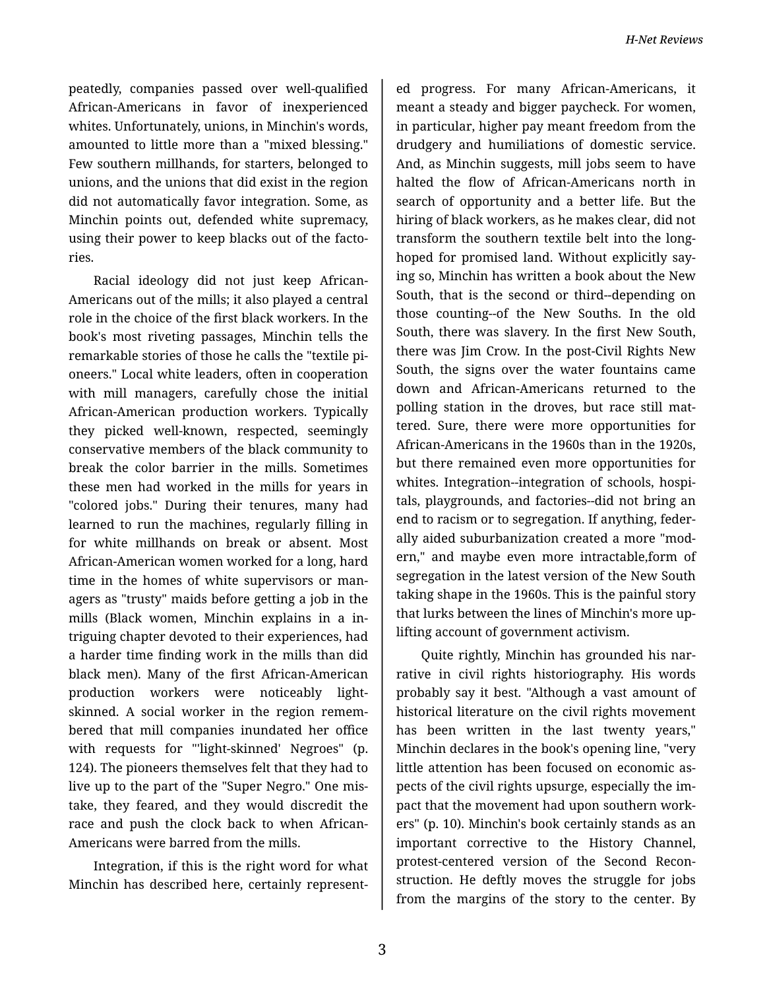peatedly, companies passed over well-qualified African-Americans in favor of inexperienced whites. Unfortunately, unions, in Minchin's words, amounted to little more than a "mixed blessing." Few southern millhands, for starters, belonged to unions, and the unions that did exist in the region did not automatically favor integration. Some, as Minchin points out, defended white supremacy, using their power to keep blacks out of the facto‐ ries.

Racial ideology did not just keep African-Americans out of the mills; it also played a central role in the choice of the first black workers. In the book's most riveting passages, Minchin tells the remarkable stories of those he calls the "textile pi‐ oneers." Local white leaders, often in cooperation with mill managers, carefully chose the initial African-American production workers. Typically they picked well-known, respected, seemingly conservative members of the black community to break the color barrier in the mills. Sometimes these men had worked in the mills for years in "colored jobs." During their tenures, many had learned to run the machines, regularly filling in for white millhands on break or absent. Most African-American women worked for a long, hard time in the homes of white supervisors or man‐ agers as "trusty" maids before getting a job in the mills (Black women, Minchin explains in a in‐ triguing chapter devoted to their experiences, had a harder time finding work in the mills than did black men). Many of the first African-American production workers were noticeably lightskinned. A social worker in the region remem‐ bered that mill companies inundated her office with requests for "'light-skinned' Negroes" (p. 124). The pioneers themselves felt that they had to live up to the part of the "Super Negro." One mis‐ take, they feared, and they would discredit the race and push the clock back to when African-Americans were barred from the mills.

Integration, if this is the right word for what Minchin has described here, certainly represent‐

ed progress. For many African-Americans, it meant a steady and bigger paycheck. For women, in particular, higher pay meant freedom from the drudgery and humiliations of domestic service. And, as Minchin suggests, mill jobs seem to have halted the flow of African-Americans north in search of opportunity and a better life. But the hiring of black workers, as he makes clear, did not transform the southern textile belt into the longhoped for promised land. Without explicitly say‐ ing so, Minchin has written a book about the New South, that is the second or third--depending on those counting--of the New Souths. In the old South, there was slavery. In the first New South, there was Jim Crow. In the post-Civil Rights New South, the signs over the water fountains came down and African-Americans returned to the polling station in the droves, but race still mat‐ tered. Sure, there were more opportunities for African-Americans in the 1960s than in the 1920s, but there remained even more opportunities for whites. Integration--integration of schools, hospitals, playgrounds, and factories--did not bring an end to racism or to segregation. If anything, feder‐ ally aided suburbanization created a more "mod‐ ern," and maybe even more intractable,form of segregation in the latest version of the New South taking shape in the 1960s. This is the painful story that lurks between the lines of Minchin's more up‐ lifting account of government activism.

Quite rightly, Minchin has grounded his nar‐ rative in civil rights historiography. His words probably say it best. "Although a vast amount of historical literature on the civil rights movement has been written in the last twenty years," Minchin declares in the book's opening line, "very little attention has been focused on economic as‐ pects of the civil rights upsurge, especially the im‐ pact that the movement had upon southern work‐ ers" (p. 10). Minchin's book certainly stands as an important corrective to the History Channel, protest-centered version of the Second Recon‐ struction. He deftly moves the struggle for jobs from the margins of the story to the center. By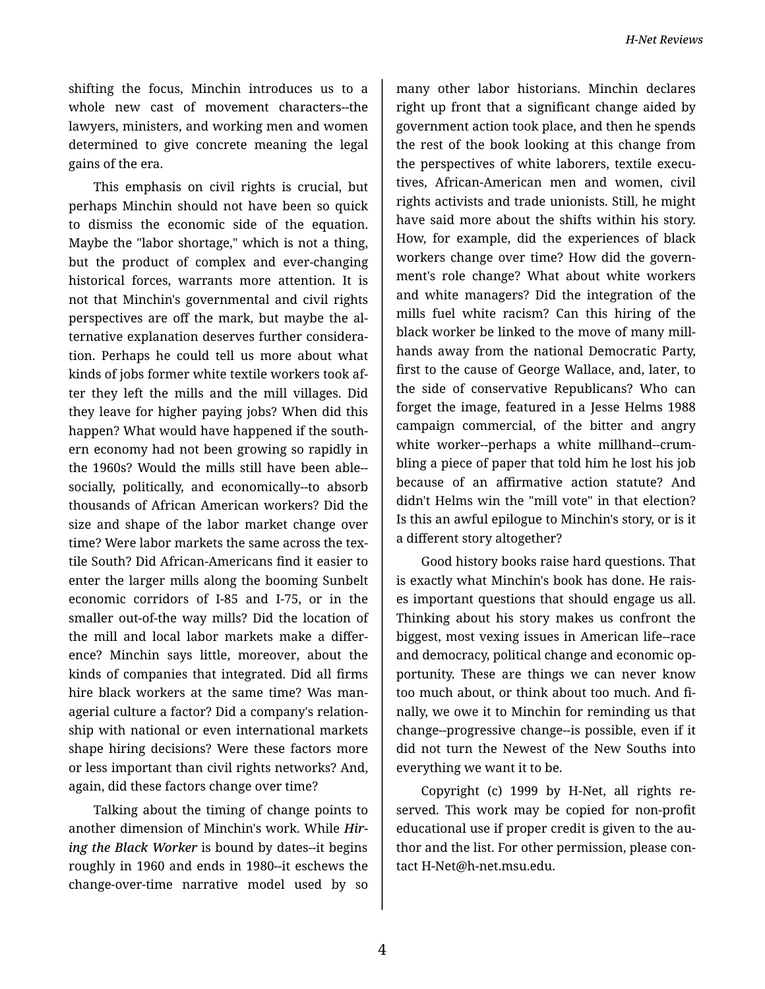shifting the focus, Minchin introduces us to a whole new cast of movement characters--the lawyers, ministers, and working men and women determined to give concrete meaning the legal gains of the era.

This emphasis on civil rights is crucial, but perhaps Minchin should not have been so quick to dismiss the economic side of the equation. Maybe the "labor shortage," which is not a thing, but the product of complex and ever-changing historical forces, warrants more attention. It is not that Minchin's governmental and civil rights perspectives are off the mark, but maybe the al‐ ternative explanation deserves further considera‐ tion. Perhaps he could tell us more about what kinds of jobs former white textile workers took af‐ ter they left the mills and the mill villages. Did they leave for higher paying jobs? When did this happen? What would have happened if the south‐ ern economy had not been growing so rapidly in the 1960s? Would the mills still have been able- socially, politically, and economically--to absorb thousands of African American workers? Did the size and shape of the labor market change over time? Were labor markets the same across the tex‐ tile South? Did African-Americans find it easier to enter the larger mills along the booming Sunbelt economic corridors of I-85 and I-75, or in the smaller out-of-the way mills? Did the location of the mill and local labor markets make a differ‐ ence? Minchin says little, moreover, about the kinds of companies that integrated. Did all firms hire black workers at the same time? Was man‐ agerial culture a factor? Did a company's relation‐ ship with national or even international markets shape hiring decisions? Were these factors more or less important than civil rights networks? And, again, did these factors change over time?

Talking about the timing of change points to another dimension of Minchin's work. While *Hir‐ ing the Black Worker* is bound by dates--it begins roughly in 1960 and ends in 1980--it eschews the change-over-time narrative model used by so

many other labor historians. Minchin declares right up front that a significant change aided by government action took place, and then he spends the rest of the book looking at this change from the perspectives of white laborers, textile execu‐ tives, African-American men and women, civil rights activists and trade unionists. Still, he might have said more about the shifts within his story. How, for example, did the experiences of black workers change over time? How did the govern‐ ment's role change? What about white workers and white managers? Did the integration of the mills fuel white racism? Can this hiring of the black worker be linked to the move of many mill‐ hands away from the national Democratic Party, first to the cause of George Wallace, and, later, to the side of conservative Republicans? Who can forget the image, featured in a Jesse Helms 1988 campaign commercial, of the bitter and angry white worker--perhaps a white millhand--crum‐ bling a piece of paper that told him he lost his job because of an affirmative action statute? And didn't Helms win the "mill vote" in that election? Is this an awful epilogue to Minchin's story, or is it a different story altogether?

Good history books raise hard questions. That is exactly what Minchin's book has done. He rais‐ es important questions that should engage us all. Thinking about his story makes us confront the biggest, most vexing issues in American life--race and democracy, political change and economic op‐ portunity. These are things we can never know too much about, or think about too much. And fi‐ nally, we owe it to Minchin for reminding us that change--progressive change--is possible, even if it did not turn the Newest of the New Souths into everything we want it to be.

Copyright (c) 1999 by H-Net, all rights re‐ served. This work may be copied for non-profit educational use if proper credit is given to the au‐ thor and the list. For other permission, please con‐ tact H-Net@h-net.msu.edu.

4